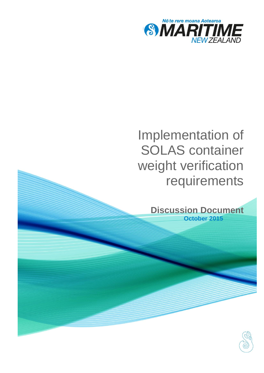

# Implementation of SOLAS container weight verification requirements

**Discussion Document October 2015**

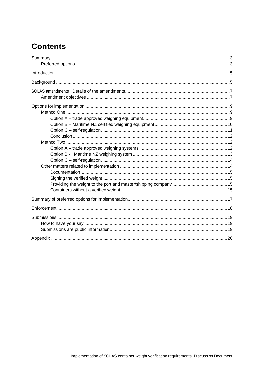# **Contents**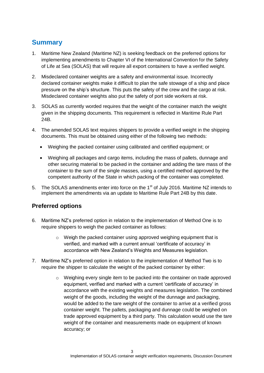## <span id="page-4-0"></span>**Summary**

- 1. Maritime New Zealand (Maritime NZ) is seeking feedback on the preferred options for implementing amendments to Chapter VI of the International Convention for the Safety of Life at Sea (SOLAS) that will require all export containers to have a verified weight.
- 2. Misdeclared container weights are a safety and environmental issue. Incorrectly declared container weights make it difficult to plan the safe stowage of a ship and place pressure on the ship's structure. This puts the safety of the crew and the cargo at risk. Misdeclared container weights also put the safety of port side workers at risk.
- 3. SOLAS as currently worded requires that the weight of the container match the weight given in the shipping documents. This requirement is reflected in Maritime Rule Part 24B.
- 4. The amended SOLAS text requires shippers to provide a verified weight in the shipping documents. This must be obtained using either of the following two methods:
	- Weighing the packed container using calibrated and certified equipment; or
	- Weighing all packages and cargo items, including the mass of pallets, dunnage and other securing material to be packed in the container and adding the tare mass of the container to the sum of the single masses, using a certified method approved by the competent authority of the State in which packing of the container was completed.
- 5. The SOLAS amendments enter into force on the 1<sup>st</sup> of July 2016. Maritime NZ intends to implement the amendments via an update to Maritime Rule Part 24B by this date.

### <span id="page-4-1"></span>**Preferred options**

- 6. Maritime NZ's preferred option in relation to the implementation of Method One is to require shippers to weigh the packed container as follows:
	- $\circ$  Weigh the packed container using approved weighing equipment that is verified, and marked with a current annual 'certificate of accuracy' in accordance with New Zealand's Weights and Measures legislation.
- 7. Maritime NZ's preferred option in relation to the implementation of Method Two is to require the shipper to calculate the weight of the packed container by either:
	- o Weighing every single item to be packed into the container on trade approved equipment, verified and marked with a current 'certificate of accuracy' in accordance with the existing weights and measures legislation. The combined weight of the goods, including the weight of the dunnage and packaging, would be added to the tare weight of the container to arrive at a verified gross container weight. The pallets, packaging and dunnage could be weighed on trade approved equipment by a third party. This calculation would use the tare weight of the container and measurements made on equipment of known accuracy; or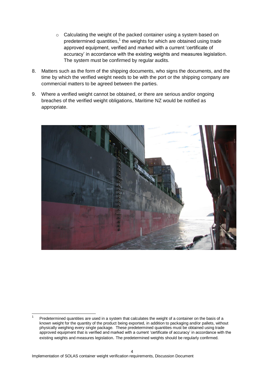- o Calculating the weight of the packed container using a system based on predetermined quantities, $1$  the weights for which are obtained using trade approved equipment, verified and marked with a current 'certificate of accuracy' in accordance with the existing weights and measures legislation. The system must be confirmed by regular audits.
- 8. Matters such as the form of the shipping documents, who signs the documents, and the time by which the verified weight needs to be with the port or the shipping company are commercial matters to be agreed between the parties.
- 9. Where a verified weight cannot be obtained, or there are serious and/or ongoing breaches of the verified weight obligations, Maritime NZ would be notified as appropriate.



<sup>1</sup> 1 Predetermined quantities are used in a system that calculates the weight of a container on the basis of a known weight for the quantity of the product being exported, in addition to packaging and/or pallets, without physically weighing every single package. These predetermined quantities must be obtained using trade approved equipment that is verified and marked with a current 'certificate of accuracy' in accordance with the existing weights and measures legislation. The predetermined weights should be regularly confirmed.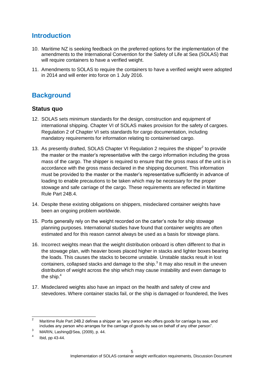# <span id="page-6-0"></span>**Introduction**

- 10. Maritime NZ is seeking feedback on the preferred options for the implementation of the amendments to the International Convention for the Safety of Life at Sea (SOLAS) that will require containers to have a verified weight.
- 11. Amendments to SOLAS to require the containers to have a verified weight were adopted in 2014 and will enter into force on 1 July 2016.

# <span id="page-6-1"></span>**Background**

#### **Status quo**

- 12. SOLAS sets minimum standards for the design, construction and equipment of international shipping. Chapter VI of SOLAS makes provision for the safety of cargoes. Regulation 2 of Chapter VI sets standards for cargo documentation, including mandatory requirements for information relating to containerised cargo.
- 13. As presently drafted, SOLAS Chapter VI Regulation 2 requires the shipper<sup>2</sup> to provide the master or the master's representative with the cargo information including the gross mass of the cargo. The shipper is required to ensure that the gross mass of the unit is in accordance with the gross mass declared in the shipping document. This information must be provided to the master or the master's representative sufficiently in advance of loading to enable precautions to be taken which may be necessary for the proper stowage and safe carriage of the cargo. These requirements are reflected in Maritime Rule Part 24B.4.
- 14. Despite these existing obligations on shippers, misdeclared container weights have been an ongoing problem worldwide.
- 15. Ports generally rely on the weight recorded on the carter's note for ship stowage planning purposes. International studies have found that container weights are often estimated and for this reason cannot always be used as a basis for stowage plans.
- 16. Incorrect weights mean that the weight distribution onboard is often different to that in the stowage plan, with heavier boxes placed higher in stacks and lighter boxes bearing the loads. This causes the stacks to become unstable. Unstable stacks result in lost containers, collapsed stacks and damage to the ship. $3$  It may also result in the uneven distribution of weight across the ship which may cause instability and even damage to the ship.<sup>4</sup>
- 17. Misdeclared weights also have an impact on the health and safety of crew and stevedores. Where container stacks fail, or the ship is damaged or foundered, the lives

 $\mathcal{L}$ Maritime Rule Part 24B.2 defines a shipper as "any person who offers goods for carriage by sea, and includes any person who arranges for the carriage of goods by sea on behalf of any other person".

<sup>3</sup> MARIN, Lashing@Sea, (2009), p. 44.

<sup>4</sup> Ibid, pp 43-44.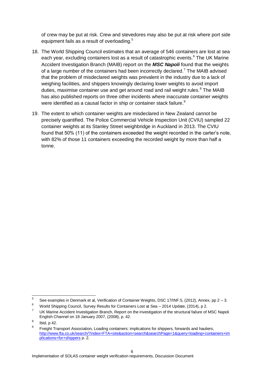of crew may be put at risk. Crew and stevedores may also be put at risk where port side equipment fails as a result of overloading.<sup>5</sup>

- 18. The World Shipping Council estimates that an average of 546 containers are lost at sea each year, excluding containers lost as a result of catastrophic events.<sup>6</sup> The UK Marine Accident Investigation Branch (MAIB) report on the *MSC Napoli* found that the weights of a large number of the containers had been incorrectly declared.<sup>7</sup> The MAIB advised that the problem of misdeclared weights was prevalent in the industry due to a lack of weighing facilities, and shippers knowingly declaring lower weights to avoid import duties, maximise container use and get around road and rail weight rules. $8$  The MAIB has also published reports on three other incidents where inaccurate container weights were identified as a causal factor in ship or container stack failure.<sup>9</sup>
- 19. The extent to which container weights are misdeclared in New Zealand cannot be precisely quantified. The Police Commercial Vehicle Inspection Unit (CVIU) sampled 22 container weights at its Stanley Street weighbridge in Auckland in 2013. The CVIU found that 50% (11) of the containers exceeded the weight recorded in the carter's note, with 82% of those 11 containers exceeding the recorded weight by more than half a tonne.

<sup>-&</sup>lt;br>5 See examples in Denmark et al, Verification of Container Weights, DSC 17/INF.5, (2012), Annex, pp 2 – 3.

<sup>6</sup> World Shipping Council, Survey Results for Containers Lost at Sea – 2014 Update, (2014), p 2.

<sup>7</sup> UK Marine Accident Investigation Branch, Report on the investigation of the structural failure of MSC Napoli English Channel on 18 January 2007, (2008), p. 42.

<sup>8</sup> Ibid, p 42.

<sup>9</sup> Freight Transport Association, Loading containers: implications for shippers, forwards and hauliers, [http://www.fta.co.uk/search/?index=FTA+site&action=search&searchPage=1&query=loading+containers+im](http://www.fta.co.uk/search/?index=FTA+site&action=search&searchPage=1&query=loading+containers+implications+for+shippers) [plications+for+shippers](http://www.fta.co.uk/search/?index=FTA+site&action=search&searchPage=1&query=loading+containers+implications+for+shippers) p. 2.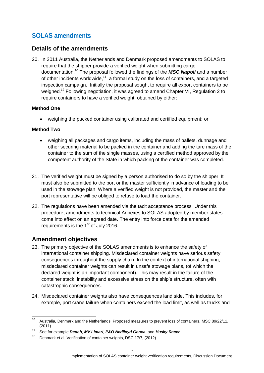# <span id="page-8-0"></span>**SOLAS amendments**

#### **Details of the amendments**

20. In 2011 Australia, the Netherlands and Denmark proposed amendments to SOLAS to require that the shipper provide a verified weight when submitting cargo documentation.<sup>10</sup> The proposal followed the findings of the *MSC Napoli* and a number of other incidents worldwide, $11$  a formal study on the loss of containers, and a targeted inspection campaign. Initially the proposal sought to require all export containers to be weighed.<sup>12</sup> Following negotiation, it was agreed to amend Chapter VI, Regulation 2 to require containers to have a verified weight, obtained by either:

#### **Method One**

weighing the packed container using calibrated and certified equipment; or

#### **Method Two**

- weighing all packages and cargo items, including the mass of pallets, dunnage and other securing material to be packed in the container and adding the tare mass of the container to the sum of the single masses, using a certified method approved by the competent authority of the State in which packing of the container was completed.
- 21. The verified weight must be signed by a person authorised to do so by the shipper. It must also be submitted to the port or the master sufficiently in advance of loading to be used in the stowage plan. Where a verified weight is not provided, the master and the port representative will be obliged to refuse to load the container.
- 22. The regulations have been amended via the tacit acceptance process. Under this procedure, amendments to technical Annexes to SOLAS adopted by member states come into effect on an agreed date. The entry into force date for the amended requirements is the  $1<sup>st</sup>$  of July 2016.

#### <span id="page-8-1"></span>**Amendment objectives**

- 23. The primary objective of the SOLAS amendments is to enhance the safety of international container shipping. Misdeclared container weights have serious safety consequences throughout the supply chain. In the context of international shipping, misdeclared container weights can result in unsafe stowage plans, (of which the declared weight is an important component). This may result in the failure of the container stack, instability and excessive stress on the ship's structure, often with catastrophic consequences.
- 24. Misdeclared container weights also have consequences land side. This includes, for example, port crane failure when containers exceed the load limit, as well as trucks and

 $10<sup>1</sup>$ <sup>10</sup> Australia, Denmark and the Netherlands, Proposed measures to prevent loss of containers, MSC 89/22/11, (2011).

<sup>11</sup> See for example *Deneb*, *MV Limari*, *P&O Nedlloyd Genoa*, and *Husky Racer*

<sup>&</sup>lt;sup>12</sup> Denmark et al, Verification of container weights, DSC 17/7, (2012).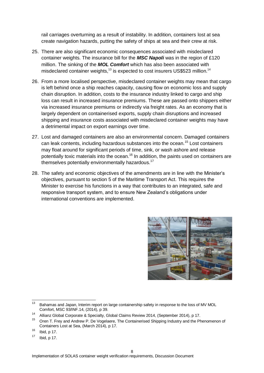rail carriages overturning as a result of instability. In addition, containers lost at sea create navigation hazards, putting the safety of ships at sea and their crew at risk.

- 25. There are also significant economic consequences associated with misdeclared container weights. The insurance bill for the *MSC Napoli* was in the region of £120 million. The sinking of the *MOL Comfort* which has also been associated with misdeclared container weights, $13$  is expected to cost insurers US\$523 million.<sup>14</sup>
- 26. From a more localised perspective, misdeclared container weights may mean that cargo is left behind once a ship reaches capacity, causing flow on economic loss and supply chain disruption. In addition, costs to the insurance industry linked to cargo and ship loss can result in increased insurance premiums. These are passed onto shippers either via increased insurance premiums or indirectly via freight rates. As an economy that is largely dependent on containerised exports, supply chain disruptions and increased shipping and insurance costs associated with misdeclared container weights may have a detrimental impact on export earnings over time.
- 27. Lost and damaged containers are also an environmental concern. Damaged containers can leak contents, including hazardous substances into the ocean.<sup>15</sup> Lost containers may float around for significant periods of time, sink, or wash ashore and release potentially toxic materials into the ocean.<sup>16</sup> In addition, the paints used on containers are themselves potentially environmentally hazardous.<sup>17</sup>
- 28. The safety and economic objectives of the amendments are in line with the Minister's objectives, pursuant to section 5 of the Maritime Transport Act. This requires the Minister to exercise his functions in a way that contributes to an integrated, safe and responsive transport system, and to ensure New Zealand's obligations under international conventions are implemented.



<sup>13</sup> Bahamas and Japan, Interim report on large containership safety in response to the loss of MV MOL Comfort, MSC 93/INF.14, (2014), p 39.

<sup>14</sup> Allianz Global Corporate & Specialty, Global Claims Review 2014, (September 2014), p 17.

Oren T. Frey and Andrew P. De Vogelaere, The Containerised Shipping Industry and the Phenomenon of Containers Lost at Sea, (March 2014), p 17.

 $\frac{16}{17}$  Ibid, p 17.

Ibid, p 17.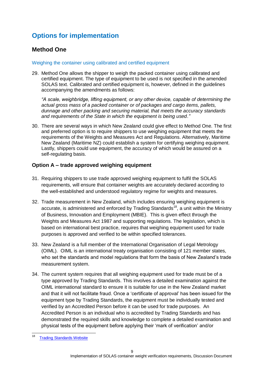# <span id="page-10-0"></span>**Options for implementation**

#### <span id="page-10-1"></span>**Method One**

#### Weighing the container using calibrated and certified equipment

29. Method One allows the shipper to weigh the packed container using calibrated and certified equipment. The type of equipment to be used is not specified in the amended SOLAS text. Calibrated and certified equipment is, however, defined in the guidelines accompanying the amendments as follows:

*"A scale, weighbridge, lifting equipment, or any other device, capable of determining the actual gross mass of a packed container or of packages and cargo items, pallets, dunnage and other packing and securing material, that meets the accuracy standards and requirements of the State in which the equipment is being used."* 

30. There are several ways in which New Zealand could give effect to Method One. The first and preferred option is to require shippers to use weighing equipment that meets the requirements of the Weights and Measures Act and Regulations. Alternatively, Maritime New Zealand (Maritime NZ) could establish a system for certifying weighing equipment. Lastly, shippers could use equipment, the accuracy of which would be assured on a self-regulating basis.

#### <span id="page-10-2"></span>**Option A – trade approved weighing equipment**

- 31. Requiring shippers to use trade approved weighing equipment to fulfil the SOLAS requirements, will ensure that container weights are accurately declared according to the well-established and understood regulatory regime for weights and measures.
- 32. Trade measurement in New Zealand, which includes ensuring weighing equipment is accurate, is administered and enforced by Trading Standards<sup>18</sup>, a unit within the Ministry of Business, Innovation and Employment (MBIE). This is given effect through the Weights and Measures Act 1987 and supporting regulations. The legislation, which is based on international best practice, requires that weighing equipment used for trade purposes is approved and verified to be within specified tolerances.
- 33. New Zealand is a full member of the International Organisation of Legal Metrology (OIML). OIML is an international treaty organisation consisting of 121 member states, who set the standards and model regulations that form the basis of New Zealand's trade measurement system.
- 34. The current system requires that all weighing equipment used for trade must be of a type approved by Trading Standards. This involves a detailed examination against the OIML international standard to ensure it is suitable for use in the New Zealand market and that it will not facilitate fraud. Once a 'certificate of approval' has been issued for the equipment type by Trading Standards, the equipment must be individually tested and verified by an Accredited Person before it can be used for trade purposes. An Accredited Person is an individual who is accredited by Trading Standards and has demonstrated the required skills and knowledge to complete a detailed examination and physical tests of the equipment before applying their 'mark of verification' and/or

<sup>18</sup> **Trading Standards Website**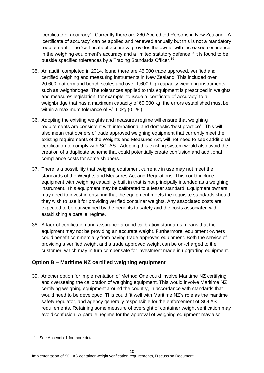'certificate of accuracy'. Currently there are 260 Accredited Persons in New Zealand. A 'certificate of accuracy' can be applied and renewed annually but this is not a mandatory requirement. The 'certificate of accuracy' provides the owner with increased confidence in the weighing equipment's accuracy and a limited statutory defence if it is found to be outside specified tolerances by a Trading Standards Officer.<sup>19</sup>

- 35. An audit, completed in 2014, found there are 45,000 trade approved, verified and certified weighing and measuring instruments in New Zealand. This included over 20,600 platform and bench scales and over 1,600 high capacity weighing instruments such as weighbridges. The tolerances applied to this equipment is prescribed in weights and measures legislation, for example to issue a 'certificate of accuracy' to a weighbridge that has a maximum capacity of 60,000 kg, the errors established must be within a maximum tolerance of +/- 60kg (0.1%).
- 36. Adopting the existing weights and measures regime will ensure that weighing requirements are consistent with international and domestic 'best practice'. This will also mean that owners of trade approved weighing equipment that currently meet the existing requirements of the Weights and Measures Act, will not need to seek additional certification to comply with SOLAS. Adopting this existing system would also avoid the creation of a duplicate scheme that could potentially create confusion and additional compliance costs for some shippers.
- 37. There is a possibility that weighing equipment currently in use may not meet the standards of the Weights and Measures Act and Regulations. This could include equipment with weighing capability built in that is not principally intended as a weighing instrument. This equipment may be calibrated to a lesser standard. Equipment owners may need to invest in ensuring that the equipment meets the requisite standards should they wish to use it for providing verified container weights. Any associated costs are expected to be outweighed by the benefits to safety and the costs associated with establishing a parallel regime.
- 38. A lack of certification and assurance around calibration standards means that the equipment may not be providing an accurate weight. Furthermore, equipment owners could benefit commercially from having trade approved equipment. Both the service of providing a verified weight and a trade approved weight can be on-charged to the customer, which may in turn compensate for investment made in upgrading equipment.

#### <span id="page-11-0"></span>**Option B – Maritime NZ certified weighing equipment**

39. Another option for implementation of Method One could involve Maritime NZ certifying and overseeing the calibration of weighing equipment. This would involve Maritime NZ certifying weighing equipment around the country, in accordance with standards that would need to be developed. This could fit well with Maritime NZ's role as the maritime safety regulator, and agency generally responsible for the enforcement of SOLAS requirements. Retaining some measure of oversight of container weight verification may avoid confusion. A parallel regime for the approval of weighing equipment may also

<sup>19</sup> See Appendix 1 for more detail.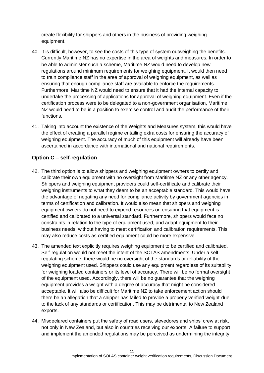create flexibility for shippers and others in the business of providing weighing equipment.

- 40. It is difficult, however, to see the costs of this type of system outweighing the benefits. Currently Maritime NZ has no expertise in the area of weights and measures. In order to be able to administer such a scheme, Maritime NZ would need to develop new regulations around minimum requirements for weighing equipment. It would then need to train compliance staff in the area of approval of weighing equipment, as well as ensuring that enough compliance staff are available to enforce the requirements. Furthermore, Maritime NZ would need to ensure that it had the internal capacity to undertake the processing of applications for approval of weighing equipment. Even if the certification process were to be delegated to a non-government organisation, Maritime NZ would need to be in a position to exercise control and audit the performance of their functions.
- 41. Taking into account the existence of the Weights and Measures system, this would have the effect of creating a parallel regime entailing extra costs for ensuring the accuracy of weighing equipment. The accuracy of much of this equipment will already have been ascertained in accordance with international and national requirements.

#### <span id="page-12-0"></span>**Option C – self-regulation**

- 42. The third option is to allow shippers and weighing equipment owners to certify and calibrate their own equipment with no oversight from Maritime NZ or any other agency. Shippers and weighing equipment providers could self-certificate and calibrate their weighing instruments to what they deem to be an acceptable standard. This would have the advantage of negating any need for compliance activity by government agencies in terms of certification and calibration. It would also mean that shippers and weighing equipment owners do not need to expend resources on ensuring that equipment is certified and calibrated to a universal standard. Furthermore, shippers would face no constraints in relation to the type of equipment used, and adapt equipment to their business needs, without having to meet certification and calibration requirements. This may also reduce costs as certified equipment could be more expensive.
- 43. The amended text explicitly requires weighing equipment to be certified and calibrated. Self-regulation would not meet the intent of the SOLAS amendments. Under a selfregulating scheme, there would be no oversight of the standards or reliability of the weighing equipment used. Shippers could use any equipment regardless of its suitability for weighing loaded containers or its level of accuracy. There will be no formal oversight of the equipment used. Accordingly, there will be no guarantee that the weighing equipment provides a weight with a degree of accuracy that might be considered acceptable. It will also be difficult for Maritime NZ to take enforcement action should there be an allegation that a shipper has failed to provide a properly verified weight due to the lack of any standards or certification. This may be detrimental to New Zealand exports.
- 44. Misdeclared containers put the safety of road users, stevedores and ships' crew at risk, not only in New Zealand, but also in countries receiving our exports. A failure to support and implement the amended regulations may be perceived as undermining the integrity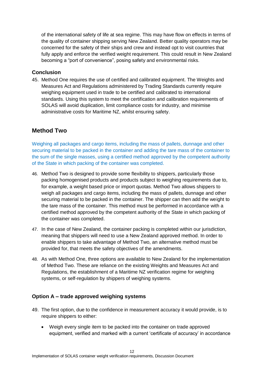of the international safety of life at sea regime. This may have flow on effects in terms of the quality of container shipping serving New Zealand. Better quality operators may be concerned for the safety of their ships and crew and instead opt to visit countries that fully apply and enforce the verified weight requirement. This could result in New Zealand becoming a "port of convenience", posing safety and environmental risks.

#### <span id="page-13-0"></span>**Conclusion**

45. Method One requires the use of certified and calibrated equipment. The Weights and Measures Act and Regulations administered by Trading Standards currently require weighing equipment used in trade to be certified and calibrated to international standards. Using this system to meet the certification and calibration requirements of SOLAS will avoid duplication, limit compliance costs for industry, and minimise administrative costs for Maritime NZ, whilst ensuring safety.

#### <span id="page-13-1"></span>**Method Two**

Weighing all packages and cargo items, including the mass of pallets, dunnage and other securing material to be packed in the container and adding the tare mass of the container to the sum of the single masses, using a certified method approved by the competent authority of the State in which packing of the container was completed.

- 46. Method Two is designed to provide some flexibility to shippers, particularly those packing homogenised products and products subject to weighing requirements due to, for example, a weight based price or import quotas. Method Two allows shippers to weigh all packages and cargo items, including the mass of pallets, dunnage and other securing material to be packed in the container. The shipper can then add the weight to the tare mass of the container. This method must be performed in accordance with a certified method approved by the competent authority of the State in which packing of the container was completed.
- 47. In the case of New Zealand, the container packing is completed within our jurisdiction, meaning that shippers will need to use a New Zealand approved method. In order to enable shippers to take advantage of Method Two, an alternative method must be provided for, that meets the safety objectives of the amendments.
- 48. As with Method One, three options are available to New Zealand for the implementation of Method Two. These are reliance on the existing Weights and Measures Act and Regulations, the establishment of a Maritime NZ verification regime for weighing systems, or self-regulation by shippers of weighing systems.

#### <span id="page-13-2"></span>**Option A – trade approved weighing systems**

- 49. The first option, due to the confidence in measurement accuracy it would provide, is to require shippers to either:
	- Weigh every single item to be packed into the container on trade approved equipment, verified and marked with a current 'certificate of accuracy' in accordance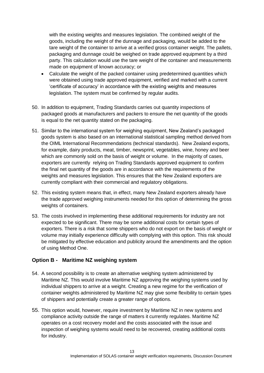with the existing weights and measures legislation. The combined weight of the goods, including the weight of the dunnage and packaging, would be added to the tare weight of the container to arrive at a verified gross container weight. The pallets, packaging and dunnage could be weighed on trade approved equipment by a third party. This calculation would use the tare weight of the container and measurements made on equipment of known accuracy; or

- Calculate the weight of the packed container using predetermined quantities which were obtained using trade approved equipment, verified and marked with a current 'certificate of accuracy' in accordance with the existing weights and measures legislation. The system must be confirmed by regular audits.
- 50. In addition to equipment, Trading Standards carries out quantity inspections of packaged goods at manufacturers and packers to ensure the net quantity of the goods is equal to the net quantity stated on the packaging.
- 51. Similar to the international system for weighing equipment, New Zealand's packaged goods system is also based on an international statistical sampling method derived from the OIML International Recommendations (technical standards). New Zealand exports, for example, dairy products, meat, timber, newsprint, vegetables, wine, honey and beer which are commonly sold on the basis of weight or volume. In the majority of cases, exporters are currently relying on Trading Standards approved equipment to confirm the final net quantity of the goods are in accordance with the requirements of the weights and measures legislation. This ensures that the New Zealand exporters are currently compliant with their commercial and regulatory obligations.
- 52. This existing system means that, in effect, many New Zealand exporters already have the trade approved weighing instruments needed for this option of determining the gross weights of containers.
- 53. The costs involved in implementing these additional requirements for industry are not expected to be significant. There may be some additional costs for certain types of exporters. There is a risk that some shippers who do not export on the basis of weight or volume may initially experience difficulty with complying with this option. This risk should be mitigated by effective education and publicity around the amendments and the option of using Method One.

#### <span id="page-14-0"></span>**Option B - Maritime NZ weighing system**

- 54. A second possibility is to create an alternative weighing system administered by Maritime NZ. This would involve Maritime NZ approving the weighing systems used by individual shippers to arrive at a weight. Creating a new regime for the verification of container weights administered by Maritime NZ may give some flexibility to certain types of shippers and potentially create a greater range of options.
- 55. This option would, however, require investment by Maritime NZ in new systems and compliance activity outside the range of matters it currently regulates. Maritime NZ operates on a cost recovery model and the costs associated with the issue and inspection of weighing systems would need to be recovered, creating additional costs for industry.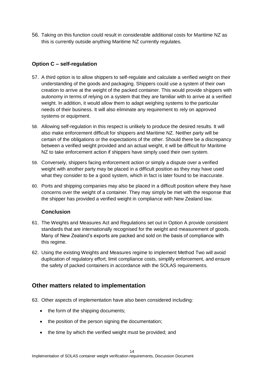56. Taking on this function could result in considerable additional costs for Maritime NZ as this is currently outside anything Maritime NZ currently regulates.

#### <span id="page-15-0"></span>**Option C – self-regulation**

- 57. A third option is to allow shippers to self-regulate and calculate a verified weight on their understanding of the goods and packaging. Shippers could use a system of their own creation to arrive at the weight of the packed container. This would provide shippers with autonomy in terms of relying on a system that they are familiar with to arrive at a verified weight. In addition, it would allow them to adapt weighing systems to the particular needs of their business. It will also eliminate any requirement to rely on approved systems or equipment.
- 58. Allowing self-regulation in this respect is unlikely to produce the desired results. It will also make enforcement difficult for shippers and Maritime NZ. Neither party will be certain of the obligations or the expectations of the other. Should there be a discrepancy between a verified weight provided and an actual weight, it will be difficult for Maritime NZ to take enforcement action if shippers have simply used their own system.
- 59. Conversely, shippers facing enforcement action or simply a dispute over a verified weight with another party may be placed in a difficult position as they may have used what they consider to be a good system, which in fact is later found to be inaccurate.
- 60. Ports and shipping companies may also be placed in a difficult position where they have concerns over the weight of a container. They may simply be met with the response that the shipper has provided a verified weight in compliance with New Zealand law.

#### **Conclusion**

- 61. The Weights and Measures Act and Regulations set out in Option A provide consistent standards that are internationally recognised for the weight and measurement of goods. Many of New Zealand's exports are packed and sold on the basis of compliance with this regime.
- 62. Using the existing Weights and Measures regime to implement Method Two will avoid duplication of regulatory effort, limit compliance costs, simplify enforcement, and ensure the safety of packed containers in accordance with the SOLAS requirements.

#### <span id="page-15-1"></span>**Other matters related to implementation**

- 63. Other aspects of implementation have also been considered including:
	- the form of the shipping documents;
	- the position of the person signing the documentation;
	- the time by which the verified weight must be provided; and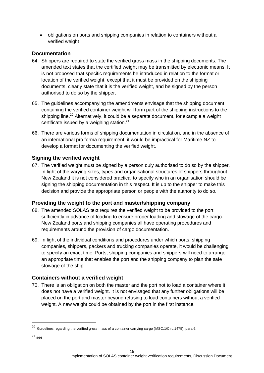obligations on ports and shipping companies in relation to containers without a verified weight

#### <span id="page-16-0"></span>**Documentation**

- 64. Shippers are required to state the verified gross mass in the shipping documents. The amended text states that the certified weight may be transmitted by electronic means. It is not proposed that specific requirements be introduced in relation to the format or location of the verified weight, except that it must be provided on the shipping documents, clearly state that it is the verified weight, and be signed by the person authorised to do so by the shipper.
- 65. The guidelines accompanying the amendments envisage that the shipping document containing the verified container weight will form part of the shipping instructions to the shipping line.<sup>20</sup> Alternatively, it could be a separate document, for example a weight certificate issued by a weighing station. $21$
- 66. There are various forms of shipping documentation in circulation, and in the absence of an international pro forma requirement, it would be impractical for Maritime NZ to develop a format for documenting the verified weight.

#### <span id="page-16-1"></span>**Signing the verified weight**

67. The verified weight must be signed by a person duly authorised to do so by the shipper. In light of the varying sizes, types and organisational structures of shippers throughout New Zealand it is not considered practical to specify who in an organisation should be signing the shipping documentation in this respect. It is up to the shipper to make this decision and provide the appropriate person or people with the authority to do so.

#### <span id="page-16-2"></span>**Providing the weight to the port and master/shipping company**

- 68. The amended SOLAS text requires the verified weight to be provided to the port sufficiently in advance of loading to ensure proper loading and stowage of the cargo. New Zealand ports and shipping companies all have operating procedures and requirements around the provision of cargo documentation.
- 69. In light of the individual conditions and procedures under which ports, shipping companies, shippers, packers and trucking companies operate, it would be challenging to specify an exact time. Ports, shipping companies and shippers will need to arrange an appropriate time that enables the port and the shipping company to plan the safe stowage of the ship.

#### <span id="page-16-3"></span>**Containers without a verified weight**

70. There is an obligation on both the master and the port not to load a container where it does not have a verified weight. It is not envisaged that any further obligations will be placed on the port and master beyond refusing to load containers without a verified weight. A new weight could be obtained by the port in the first instance.

1

 $^{20}$  Guidelines regarding the verified gross mass of a container carrying cargo (MSC.1/Circ.1475), para 6.

<sup>21</sup> Ibid.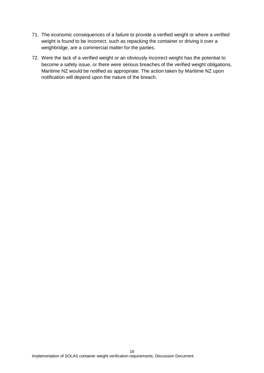- 71. The economic consequences of a failure to provide a verified weight or where a verified weight is found to be incorrect, such as repacking the container or driving it over a weighbridge, are a commercial matter for the parties.
- 72. Were the lack of a verified weight or an obviously incorrect weight has the potential to become a safety issue, or there were serious breaches of the verified weight obligations, Maritime NZ would be notified as appropriate. The action taken by Maritime NZ upon notification will depend upon the nature of the breach.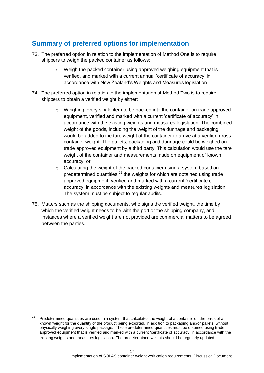# <span id="page-18-0"></span>**Summary of preferred options for implementation**

- 73. The preferred option in relation to the implementation of Method One is to require shippers to weigh the packed container as follows:
	- o Weigh the packed container using approved weighing equipment that is verified, and marked with a current annual 'certificate of accuracy' in accordance with New Zealand's Weights and Measures legislation.
- 74. The preferred option in relation to the implementation of Method Two is to require shippers to obtain a verified weight by either:
	- o Weighing every single item to be packed into the container on trade approved equipment, verified and marked with a current 'certificate of accuracy' in accordance with the existing weights and measures legislation. The combined weight of the goods, including the weight of the dunnage and packaging, would be added to the tare weight of the container to arrive at a verified gross container weight. The pallets, packaging and dunnage could be weighed on trade approved equipment by a third party. This calculation would use the tare weight of the container and measurements made on equipment of known accuracy; or
	- o Calculating the weight of the packed container using a system based on predetermined quantities,<sup>22</sup> the weights for which are obtained using trade approved equipment, verified and marked with a current 'certificate of accuracy' in accordance with the existing weights and measures legislation. The system must be subject to regular audits.
- 75. Matters such as the shipping documents, who signs the verified weight, the time by which the verified weight needs to be with the port or the shipping company, and instances where a verified weight are not provided are commercial matters to be agreed between the parties.

<sup>22</sup> Predetermined quantities are used in a system that calculates the weight of a container on the basis of a known weight for the quantity of the product being exported, in addition to packaging and/or pallets, without physically weighing every single package. These predetermined quantities must be obtained using trade approved equipment that is verified and marked with a current 'certificate of accuracy' in accordance with the existing weights and measures legislation. The predetermined weights should be regularly updated.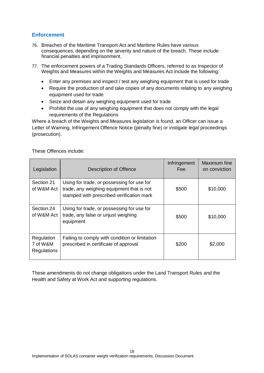#### <span id="page-19-0"></span>**Enforcement**

- 76. Breaches of the Maritime Transport Act and Maritime Rules have various consequences, depending on the severity and nature of the breach. These include financial penalties and imprisonment.
- 77. The enforcement powers of a Trading Standards Officers, referred to as Inspector of Weights and Measures within the Weights and Measures Act include the following:
	- Enter any premises and inspect / test any weighing equipment that is used for trade
	- Require the production of and take copies of any documents relating to any weighing equipment used for trade
	- Seize and detain any weighing equipment used for trade
	- Prohibit the use of any weighing equipment that does not comply with the legal requirements of the Regulations

Where a breach of the Weights and Measures legislation is found, an Officer can issue a Letter of Warning, Infringement Offence Notice (penalty fine) or instigate legal proceedings (prosecution).

| Legislation                           | Description of Offence                                                                                                               | Infringement<br>Fee: | Maximum fine<br>on conviction |
|---------------------------------------|--------------------------------------------------------------------------------------------------------------------------------------|----------------------|-------------------------------|
| Section 21<br>of W&M Act              | Using for trade, or possessing for use for<br>trade, any weighing equipment that is not<br>stamped with prescribed verification mark | \$500                | \$10,000                      |
| Section.24<br>of W&M Act              | Using for trade, or possessing for use for<br>trade, any false or unjust weighing<br>equipment                                       | \$500                | \$10,000                      |
| Regulation<br>7 of W&M<br>Regulations | Failing to comply with condition or limitation<br>prescribed in certificate of approval                                              | \$200                | \$2,000                       |

These Offences include:

These amendments do not change obligations under the Land Transport Rules and the Health and Safety at Work Act and supporting regulations.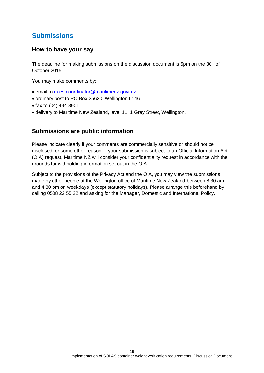# <span id="page-20-0"></span>**Submissions**

#### <span id="page-20-1"></span>**How to have your say**

The deadline for making submissions on the discussion document is 5pm on the  $30<sup>th</sup>$  of October 2015.

You may make comments by:

- email to [rules.coordinator@maritimenz.govt.nz](mailto:rules.coordinator@maritimenz.govt.nz)
- ordinary post to PO Box 25620, Wellington 6146
- fax to (04) 494 8901
- delivery to Maritime New Zealand, level 11, 1 Grey Street, Wellington.

#### <span id="page-20-2"></span>**Submissions are public information**

Please indicate clearly if your comments are commercially sensitive or should not be disclosed for some other reason. If your submission is subject to an Official Information Act (OIA) request, Maritime NZ will consider your confidentiality request in accordance with the grounds for withholding information set out in the OIA.

Subject to the provisions of the Privacy Act and the OIA, you may view the submissions made by other people at the Wellington office of Maritime New Zealand between 8.30 am and 4.30 pm on weekdays (except statutory holidays). Please arrange this beforehand by calling 0508 22 55 22 and asking for the Manager, Domestic and International Policy.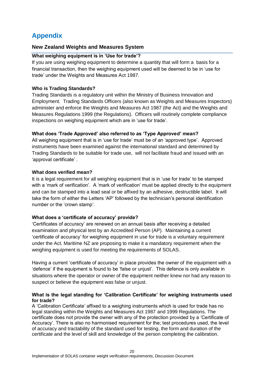# <span id="page-21-0"></span>**Appendix**

#### **New Zealand Weights and Measures System**

#### **What weighing equipment is in 'Use for trade'?**

If you are using weighing equipment to determine a quantity that will form a basis for a financial transaction, then the weighing equipment used will be deemed to be in 'use for trade' under the Weights and Measures Act 1987.

#### **Who is Trading Standards?**

Trading Standards is a regulatory unit within the Ministry of Business Innovation and Employment. Trading Standards Officers (also known as Weights and Measures Inspectors) administer and enforce the Weights and Measures Act 1987 (the Act) and the Weights and Measures Regulations 1999 (the Regulations). Officers will routinely complete compliance inspections on weighing equipment which are in 'use for trade'.

#### **What does 'Trade Approved' also referred to as 'Type Approved' mean?**

All weighing equipment that is in 'use for trade' must be of an 'approved type'. Approved instruments have been examined against the international standard and determined by Trading Standards to be suitable for trade use, will not facilitate fraud and issued with an 'approval certificate' .

#### **What does verified mean?**

It is a legal requirement for all weighing equipment that is in 'use for trade' to be stamped with a 'mark of verification'. A 'mark of verification' must be applied directly to the equipment and can be stamped into a lead seal or be affixed by an adhesive, destructible label. It will take the form of either the Letters 'AP' followed by the technician's personal identification number or the 'crown stamp'.

#### **What does a 'certificate of accuracy' provide?**

'Certificates of accuracy' are renewed on an annual basis after receiving a detailed examination and physical test by an Accredited Person (AP). Maintaining a current 'certificate of accuracy' for weighing equipment in use for trade is a voluntary requirement under the Act. Maritime NZ are proposing to make it a mandatory requirement when the weighing equipment is used for meeting the requirements of SOLAS.

Having a current 'certificate of accuracy' in place provides the owner of the equipment with a 'defence' if the equipment is found to be 'false or unjust'. This defence is only available in situations where the operator or owner of the equipment neither knew nor had any reason to suspect or believe the equipment was false or unjust.

#### **What is the legal standing for 'Calibration Certificate' for weighing instruments used for trade?**

A 'Calibration Certificate' affixed to a weighing instruments which is used for trade has no legal standing within the Weights and Measures Act 1987 and 1999 Regulations. The certificate does not provide the owner with any of the protection provided by a 'Certificate of Accuracy'. There is also no harmonised requirement for the; test procedures used, the level of accuracy and tractability of the standard used for testing, the form and duration of the certificate and the level of skill and knowledge of the person completing the calibration.